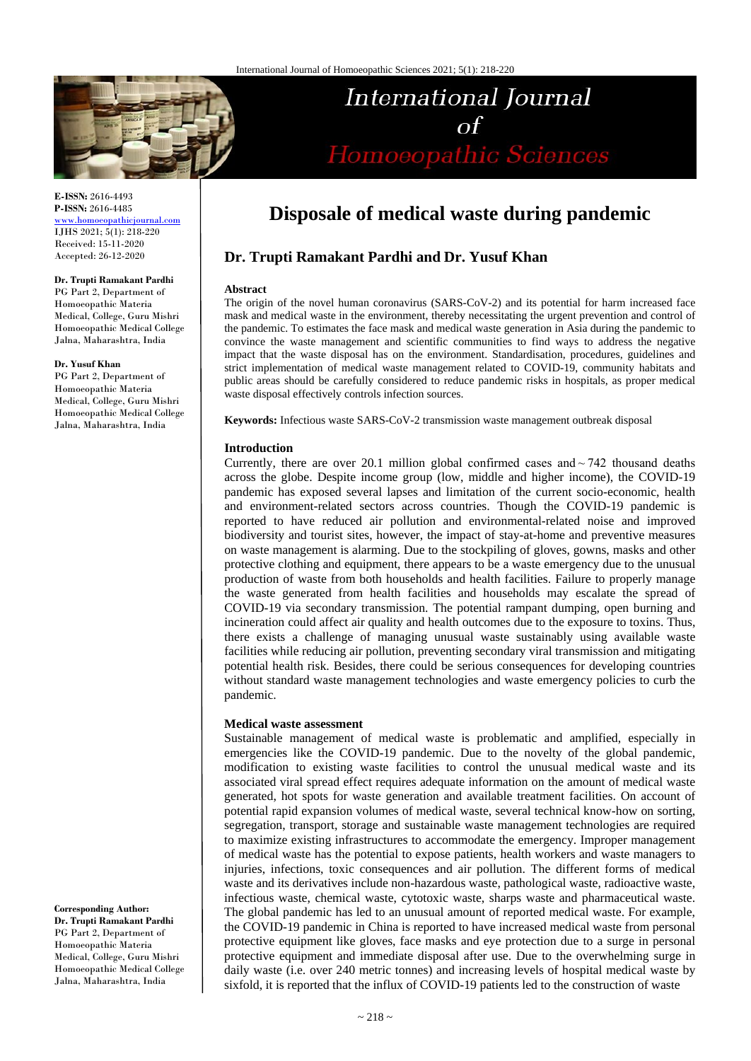

**E-ISSN:** 2616-4493 **P-ISSN:** 2616-4485 [www.homoeopathicjournal.com](file://Server/test/homoeopathicjournal/issue/vol%204/issue%201/www.homoeopathicjournal.com)

IJHS 2021; 5(1): 218-220 Received: 15-11-2020 Accepted: 26-12-2020

## **Dr. Trupti Ramakant Pardhi**

PG Part 2, Department of Homoeopathic Materia Medical, College, Guru Mishri Homoeopathic Medical College Jalna, Maharashtra, India

#### **Dr. Yusuf Khan**

PG Part 2, Department of Homoeopathic Materia Medical, College, Guru Mishri Homoeopathic Medical College Jalna, Maharashtra, India

**Corresponding Author: Dr. Trupti Ramakant Pardhi** PG Part 2, Department of Homoeopathic Materia Medical, College, Guru Mishri Homoeopathic Medical College Jalna, Maharashtra, India

# **Disposale of medical waste during pandemic**

International Journal

 $\sigma$ f

Homoeopathic Sciences

# **Dr. Trupti Ramakant Pardhi and Dr. Yusuf Khan**

#### **Abstract**

The origin of the novel human coronavirus (SARS-CoV-2) and its potential for harm increased face mask and medical waste in the environment, thereby necessitating the urgent prevention and control of the pandemic. To estimates the face mask and medical waste generation in Asia during the pandemic to convince the waste management and scientific communities to find ways to address the negative impact that the waste disposal has on the environment. Standardisation, procedures, guidelines and strict implementation of medical waste management related to COVID-19, community habitats and public areas should be carefully considered to reduce pandemic risks in hospitals, as proper medical waste disposal effectively controls infection sources.

**Keywords:** Infectious waste SARS-CoV-2 transmission waste management outbreak disposal

#### **Introduction**

Currently, there are over 20.1 million global confirmed cases and $\sim$ 742 thousand deaths across the globe. Despite income group (low, middle and higher income), the COVID-19 pandemic has exposed several lapses and limitation of the current socio-economic, health and environment-related sectors across countries. Though the COVID-19 pandemic is reported to have reduced air pollution and environmental-related noise and improved biodiversity and tourist sites, however, the impact of stay-at-home and preventive measures on waste management is alarming. Due to the stockpiling of gloves, gowns, masks and other protective clothing and equipment, there appears to be a waste emergency due to the unusual production of waste from both households and health facilities. Failure to properly manage the waste generated from health facilities and households may escalate the spread of COVID-19 via secondary transmission. The potential rampant dumping, open burning and incineration could affect air quality and health outcomes due to the exposure to toxins. Thus, there exists a challenge of managing unusual waste sustainably using available waste facilities while reducing air pollution, preventing secondary viral transmission and mitigating potential health risk. Besides, there could be serious consequences for developing countries without standard waste management technologies and waste emergency policies to curb the pandemic.

#### **Medical waste assessment**

Sustainable management of medical waste is problematic and amplified, especially in emergencies like the COVID-19 pandemic. Due to the novelty of the global pandemic, modification to existing waste facilities to control the unusual medical waste and its associated viral spread effect requires adequate information on the amount of medical waste generated, hot spots for waste generation and available treatment facilities. On account of potential rapid expansion volumes of medical waste, several technical know-how on sorting, segregation, transport, storage and sustainable waste management technologies are required to maximize existing infrastructures to accommodate the emergency. Improper management of medical waste has the potential to expose patients, health workers and waste managers to injuries, infections, toxic consequences and air pollution. The different forms of medical waste and its derivatives include non-hazardous waste, pathological waste, radioactive waste, infectious waste, chemical waste, cytotoxic waste, sharps waste and pharmaceutical waste. The global pandemic has led to an unusual amount of reported medical waste. For example, the COVID-19 pandemic in China is reported to have increased medical waste from personal protective equipment like gloves, face masks and eye protection due to a surge in personal protective equipment and immediate disposal after use. Due to the overwhelming surge in daily waste (i.e. over 240 metric tonnes) and increasing levels of hospital medical waste by sixfold, it is reported that the influx of COVID-19 patients led to the construction of waste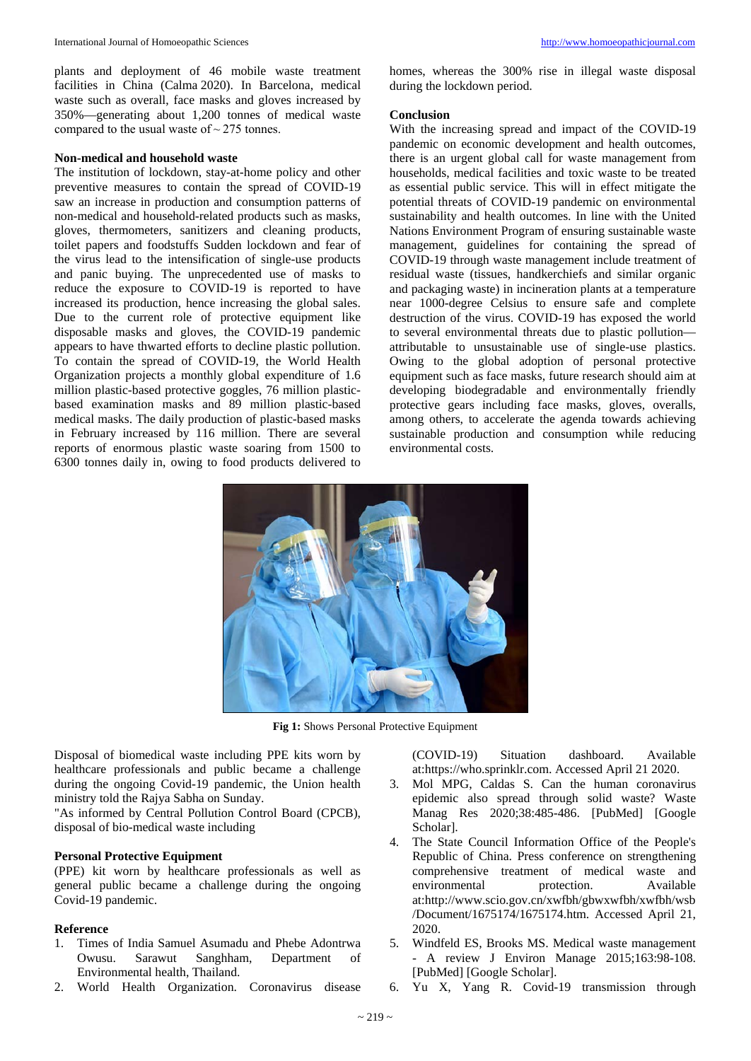plants and deployment of 46 mobile waste treatment facilities in China (Calma 2020). In Barcelona, medical waste such as overall, face masks and gloves increased by 350%—generating about 1,200 tonnes of medical waste compared to the usual waste of  $\sim$  275 tonnes.

#### **Non-medical and household waste**

The institution of lockdown, stay-at-home policy and other preventive measures to contain the spread of COVID-19 saw an increase in production and consumption patterns of non-medical and household-related products such as masks, gloves, thermometers, sanitizers and cleaning products, toilet papers and foodstuffs Sudden lockdown and fear of the virus lead to the intensification of single-use products and panic buying. The unprecedented use of masks to reduce the exposure to COVID-19 is reported to have increased its production, hence increasing the global sales. Due to the current role of protective equipment like disposable masks and gloves, the COVID-19 pandemic appears to have thwarted efforts to decline plastic pollution. To contain the spread of COVID-19, the World Health Organization projects a monthly global expenditure of 1.6 million plastic-based protective goggles, 76 million plasticbased examination masks and 89 million plastic-based medical masks. The daily production of plastic-based masks in February increased by 116 million. There are several reports of enormous plastic waste soaring from 1500 to 6300 tonnes daily in, owing to food products delivered to homes, whereas the 300% rise in illegal waste disposal during the lockdown period.

#### **Conclusion**

With the increasing spread and impact of the COVID-19 pandemic on economic development and health outcomes, there is an urgent global call for waste management from households, medical facilities and toxic waste to be treated as essential public service. This will in effect mitigate the potential threats of COVID-19 pandemic on environmental sustainability and health outcomes. In line with the United Nations Environment Program of ensuring sustainable waste management, guidelines for containing the spread of COVID-19 through waste management include treatment of residual waste (tissues, handkerchiefs and similar organic and packaging waste) in incineration plants at a temperature near 1000-degree Celsius to ensure safe and complete destruction of the virus. COVID-19 has exposed the world to several environmental threats due to plastic pollution attributable to unsustainable use of single-use plastics. Owing to the global adoption of personal protective equipment such as face masks, future research should aim at developing biodegradable and environmentally friendly protective gears including face masks, gloves, overalls, among others, to accelerate the agenda towards achieving sustainable production and consumption while reducing environmental costs.



**Fig 1:** Shows Personal Protective Equipment

Disposal of biomedical waste including PPE kits worn by healthcare professionals and public became a challenge during the ongoing Covid-19 pandemic, the Union health ministry told the Rajya Sabha on Sunday.

"As informed by Central Pollution Control Board (CPCB), disposal of bio-medical waste including

### **Personal Protective Equipment**

(PPE) kit worn by healthcare professionals as well as general public became a challenge during the ongoing Covid-19 pandemic.

#### **Reference**

- 1. Times of India Samuel Asumadu and Phebe Adontrwa Owusu. Sarawut Sanghham, Department of Environmental health, Thailand.
- 2. World Health Organization. Coronavirus disease

(COVID-19) Situation dashboard. Available at:https://who.sprinklr.com. Accessed April 21 2020.

- 3. Mol MPG, Caldas S. Can the human coronavirus epidemic also spread through solid waste? Waste Manag Res 2020;38:485-486. [PubMed] [Google Scholar].
- 4. The State Council Information Office of the People's Republic of China. Press conference on strengthening comprehensive treatment of medical waste and environmental protection. Available at:http://www.scio.gov.cn/xwfbh/gbwxwfbh/xwfbh/wsb /Document/1675174/1675174.htm. Accessed April 21, 2020.
- 5. Windfeld ES, Brooks MS. Medical waste management - A review J Environ Manage 2015;163:98-108. [PubMed] [Google Scholar].
- 6. Yu X, Yang R. Covid-19 transmission through